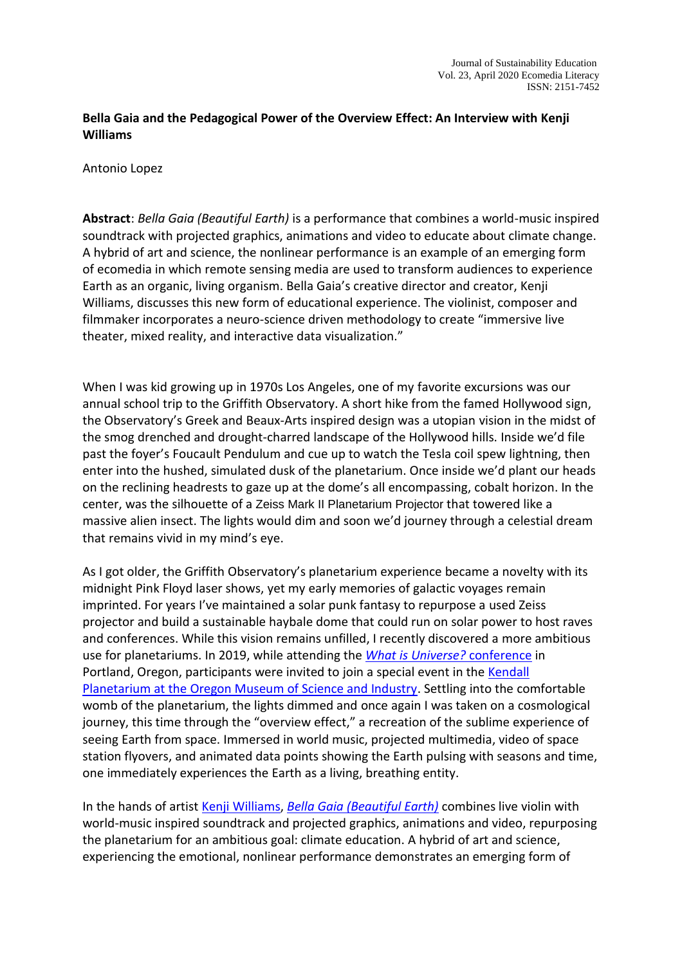# **Bella Gaia and the Pedagogical Power of the Overview Effect: An Interview with Kenji Williams**

Antonio Lopez

**Abstract**: *Bella Gaia (Beautiful Earth)* is a performance that combines a world-music inspired soundtrack with projected graphics, animations and video to educate about climate change. A hybrid of art and science, the nonlinear performance is an example of an emerging form of ecomedia in which remote sensing media are used to transform audiences to experience Earth as an organic, living organism. Bella Gaia's creative director and creator, Kenji Williams, discusses this new form of educational experience. The violinist, composer and filmmaker incorporates a neuro-science driven methodology to create "immersive live theater, mixed reality, and interactive data visualization."

When I was kid growing up in 1970s Los Angeles, one of my favorite excursions was our annual school trip to the Griffith Observatory. A short hike from the famed Hollywood sign, the Observatory's Greek and Beaux-Arts inspired design was a utopian vision in the midst of the smog drenched and drought-charred landscape of the Hollywood hills. Inside we'd file past the foyer's Foucault Pendulum and cue up to watch the Tesla coil spew lightning, then enter into the hushed, simulated dusk of the planetarium. Once inside we'd plant our heads on the reclining headrests to gaze up at the dome's all encompassing, cobalt horizon. In the center, was the silhouette of a Zeiss Mark II Planetarium Projector that towered like a massive alien insect. The lights would dim and soon we'd journey through a celestial dream that remains vivid in my mind's eye.

As I got older, the Griffith Observatory's planetarium experience became a novelty with its midnight Pink Floyd laser shows, yet my early memories of galactic voyages remain imprinted. For years I've maintained a solar punk fantasy to repurpose a used Zeiss projector and build a sustainable haybale dome that could run on solar power to host raves and conferences. While this vision remains unfilled, I recently discovered a more ambitious use for planetariums. In 2019, while attending the *[What is Universe?](https://blogs.uoregon.edu/whatisuniverse/)* conference in Portland, Oregon, participants were invited to join a special event in th[e Kendall](https://omsi.edu/planetarium)  [Planetarium at the Oregon Museum of Science and Industry.](https://omsi.edu/planetarium) Settling into the comfortable womb of the planetarium, the lights dimmed and once again I was taken on a cosmological journey, this time through the "overview effect," a recreation of the sublime experience of seeing Earth from space. Immersed in world music, projected multimedia, video of space station flyovers, and animated data points showing the Earth pulsing with seasons and time, one immediately experiences the Earth as a living, breathing entity.

In the hands of artist [Kenji Williams,](http://www.kenjiwilliams.com/) *[Bella Gaia \(Beautiful Earth\)](http://www.bellagaia.com/)* combines live violin with world-music inspired soundtrack and projected graphics, animations and video, repurposing the planetarium for an ambitious goal: climate education. A hybrid of art and science, experiencing the emotional, nonlinear performance demonstrates an emerging form of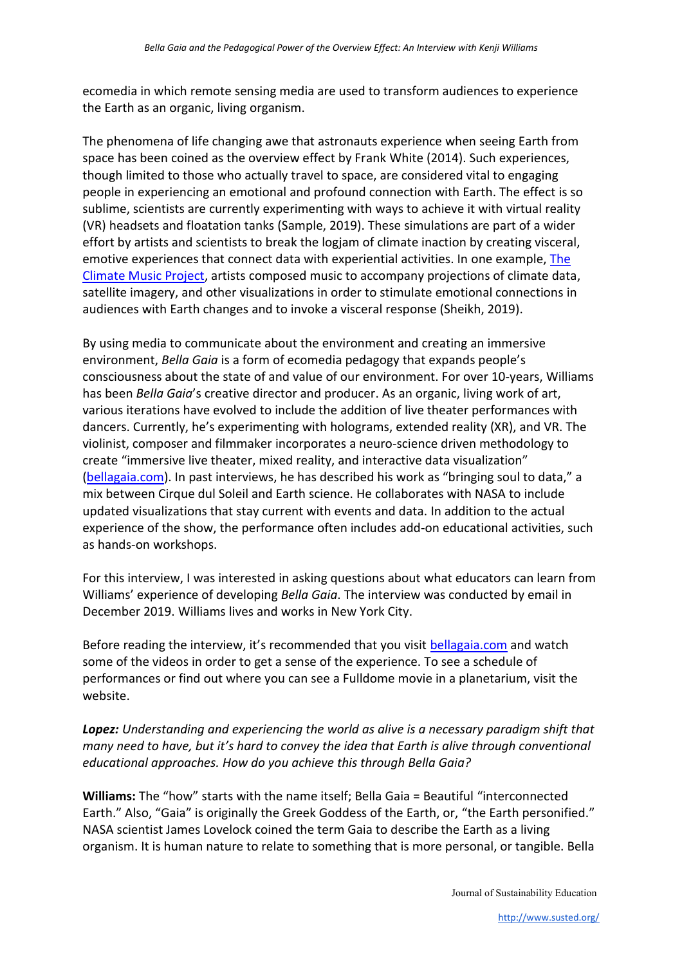ecomedia in which remote sensing media are used to transform audiences to experience the Earth as an organic, living organism.

The phenomena of life changing awe that astronauts experience when seeing Earth from space has been coined as the overview effect by Frank White (2014). Such experiences, though limited to those who actually travel to space, are considered vital to engaging people in experiencing an emotional and profound connection with Earth. The effect is so sublime, scientists are currently experimenting with ways to achieve it with virtual reality (VR) headsets and floatation tanks (Sample, 2019). These simulations are part of a wider effort by artists and scientists to break the logjam of climate inaction by creating visceral, emotive experiences that connect data with experiential activities. In one example[, The](https://climatemusic.org/)  Climate [Music Project,](https://climatemusic.org/) artists composed music to accompany projections of climate data, satellite imagery, and other visualizations in order to stimulate emotional connections in audiences with Earth changes and to invoke a visceral response (Sheikh, 2019).

By using media to communicate about the environment and creating an immersive environment, *Bella Gaia* is a form of ecomedia pedagogy that expands people's consciousness about the state of and value of our environment. For over 10-years, Williams has been *Bella Gaia*'s creative director and producer. As an organic, living work of art, various iterations have evolved to include the addition of live theater performances with dancers. Currently, he's experimenting with holograms, extended reality (XR), and VR. The violinist, composer and filmmaker incorporates a neuro-science driven methodology to create "immersive live theater, mixed reality, and interactive data visualization" [\(bellagaia.com\)](http://bellagaia.com/). In past interviews, he has described his work as "bringing soul to data," a mix between Cirque dul Soleil and Earth science. He collaborates with NASA to include updated visualizations that stay current with events and data. In addition to the actual experience of the show, the performance often includes add-on educational activities, such as hands-on workshops.

For this interview, I was interested in asking questions about what educators can learn from Williams' experience of developing *Bella Gaia*. The interview was conducted by email in December 2019. Williams lives and works in New York City.

Before reading the interview, it's recommended that you visit [bellagaia.com](http://bellagaia.com/) and watch some of the videos in order to get a sense of the experience. To see a schedule of performances or find out where you can see a Fulldome movie in a planetarium, visit the website.

*Lopez: Understanding and experiencing the world as alive is a necessary paradigm shift that many need to have, but it's hard to convey the idea that Earth is alive through conventional educational approaches. How do you achieve this through Bella Gaia?*

**Williams:** The "how" starts with the name itself; Bella Gaia = Beautiful "interconnected Earth." Also, "Gaia" is originally the Greek Goddess of the Earth, or, "the Earth personified." NASA scientist James Lovelock coined the term Gaia to describe the Earth as a living organism. It is human nature to relate to something that is more personal, or tangible. Bella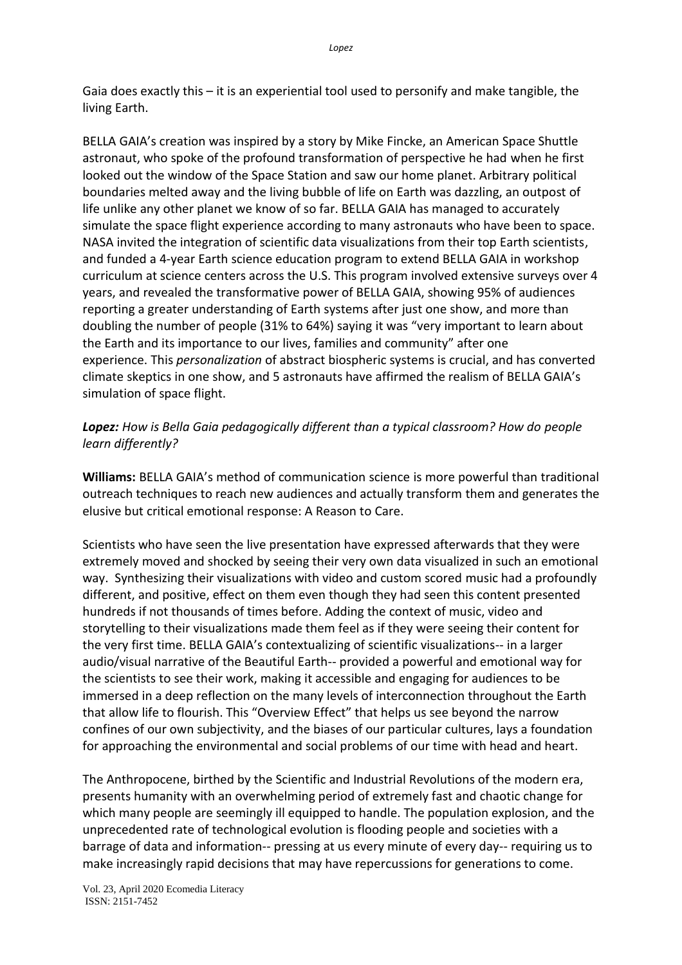Gaia does exactly this – it is an experiential tool used to personify and make tangible, the living Earth.

BELLA GAIA's creation was inspired by a story by Mike Fincke, an American Space Shuttle astronaut, who spoke of the profound transformation of perspective he had when he first looked out the window of the Space Station and saw our home planet. Arbitrary political boundaries melted away and the living bubble of life on Earth was dazzling, an outpost of life unlike any other planet we know of so far. BELLA GAIA has managed to accurately simulate the space flight experience according to many astronauts who have been to space. NASA invited the integration of scientific data visualizations from their top Earth scientists, and funded a 4-year Earth science education program to extend BELLA GAIA in workshop curriculum at science centers across the U.S. This program involved extensive surveys over 4 years, and revealed the transformative power of BELLA GAIA, showing 95% of audiences reporting a greater understanding of Earth systems after just one show, and more than doubling the number of people (31% to 64%) saying it was "very important to learn about the Earth and its importance to our lives, families and community" after one experience. This *personalization* of abstract biospheric systems is crucial, and has converted climate skeptics in one show, and 5 astronauts have affirmed the realism of BELLA GAIA's simulation of space flight.

# *Lopez: How is Bella Gaia pedagogically different than a typical classroom? How do people learn differently?*

**Williams:** BELLA GAIA's method of communication science is more powerful than traditional outreach techniques to reach new audiences and actually transform them and generates the elusive but critical emotional response: A Reason to Care.

Scientists who have seen the live presentation have expressed afterwards that they were extremely moved and shocked by seeing their very own data visualized in such an emotional way. Synthesizing their visualizations with video and custom scored music had a profoundly different, and positive, effect on them even though they had seen this content presented hundreds if not thousands of times before. Adding the context of music, video and storytelling to their visualizations made them feel as if they were seeing their content for the very first time. BELLA GAIA's contextualizing of scientific visualizations-- in a larger audio/visual narrative of the Beautiful Earth-- provided a powerful and emotional way for the scientists to see their work, making it accessible and engaging for audiences to be immersed in a deep reflection on the many levels of interconnection throughout the Earth that allow life to flourish. This "Overview Effect" that helps us see beyond the narrow confines of our own subjectivity, and the biases of our particular cultures, lays a foundation for approaching the environmental and social problems of our time with head and heart.

The Anthropocene, birthed by the Scientific and Industrial Revolutions of the modern era, presents humanity with an overwhelming period of extremely fast and chaotic change for which many people are seemingly ill equipped to handle. The population explosion, and the unprecedented rate of technological evolution is flooding people and societies with a barrage of data and information-- pressing at us every minute of every day-- requiring us to make increasingly rapid decisions that may have repercussions for generations to come.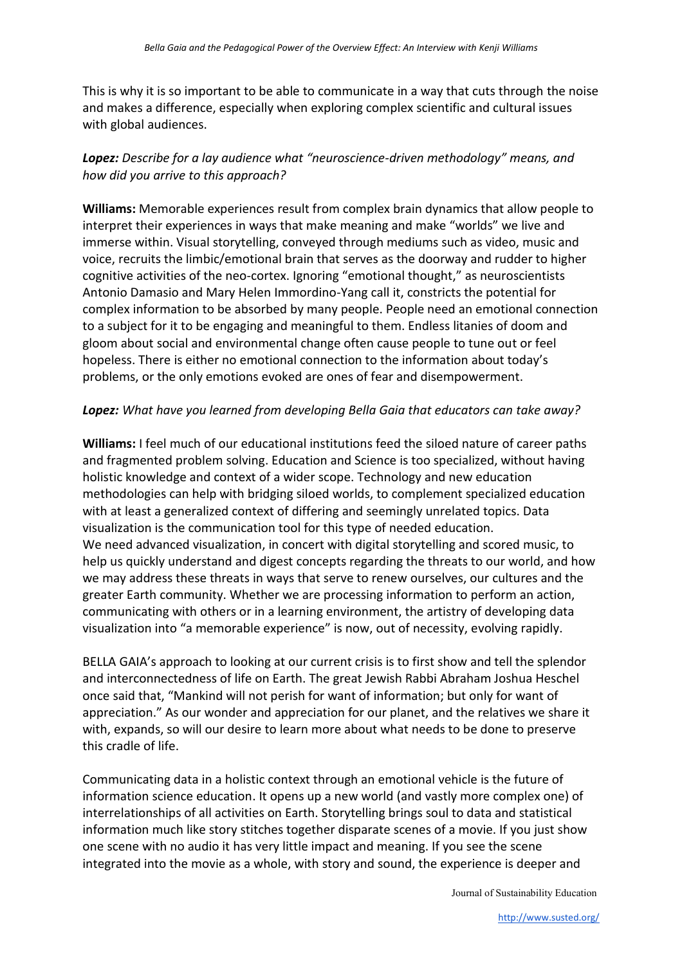This is why it is so important to be able to communicate in a way that cuts through the noise and makes a difference, especially when exploring complex scientific and cultural issues with global audiences.

# *Lopez: Describe for a lay audience what "neuroscience-driven methodology" means, and how did you arrive to this approach?*

**Williams:** Memorable experiences result from complex brain dynamics that allow people to interpret their experiences in ways that make meaning and make "worlds" we live and immerse within. Visual storytelling, conveyed through mediums such as video, music and voice, recruits the limbic/emotional brain that serves as the doorway and rudder to higher cognitive activities of the neo-cortex. Ignoring "emotional thought," as neuroscientists Antonio Damasio and Mary Helen Immordino-Yang call it, constricts the potential for complex information to be absorbed by many people. People need an emotional connection to a subject for it to be engaging and meaningful to them. Endless litanies of doom and gloom about social and environmental change often cause people to tune out or feel hopeless. There is either no emotional connection to the information about today's problems, or the only emotions evoked are ones of fear and disempowerment.

### *Lopez: What have you learned from developing Bella Gaia that educators can take away?*

**Williams:** I feel much of our educational institutions feed the siloed nature of career paths and fragmented problem solving. Education and Science is too specialized, without having holistic knowledge and context of a wider scope. Technology and new education methodologies can help with bridging siloed worlds, to complement specialized education with at least a generalized context of differing and seemingly unrelated topics. Data visualization is the communication tool for this type of needed education. We need advanced visualization, in concert with digital storytelling and scored music, to help us quickly understand and digest concepts regarding the threats to our world, and how we may address these threats in ways that serve to renew ourselves, our cultures and the greater Earth community. Whether we are processing information to perform an action, communicating with others or in a learning environment, the artistry of developing data visualization into "a memorable experience" is now, out of necessity, evolving rapidly.

BELLA GAIA's approach to looking at our current crisis is to first show and tell the splendor and interconnectedness of life on Earth. The great Jewish Rabbi Abraham Joshua Heschel once said that, "Mankind will not perish for want of information; but only for want of appreciation." As our wonder and appreciation for our planet, and the relatives we share it with, expands, so will our desire to learn more about what needs to be done to preserve this cradle of life.

Communicating data in a holistic context through an emotional vehicle is the future of information science education. It opens up a new world (and vastly more complex one) of interrelationships of all activities on Earth. Storytelling brings soul to data and statistical information much like story stitches together disparate scenes of a movie. If you just show one scene with no audio it has very little impact and meaning. If you see the scene integrated into the movie as a whole, with story and sound, the experience is deeper and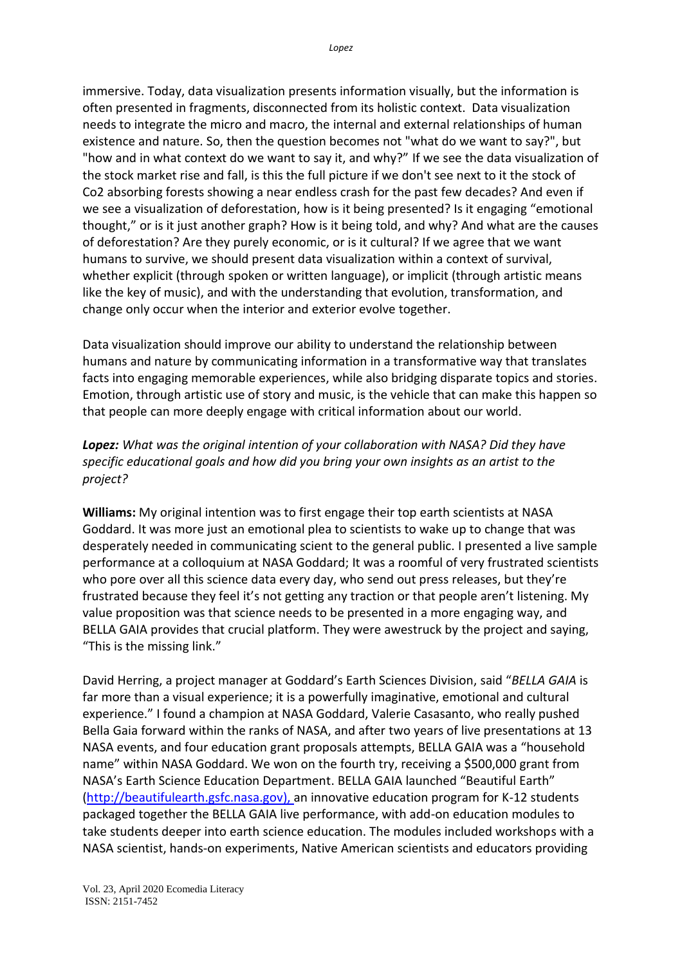immersive. Today, data visualization presents information visually, but the information is often presented in fragments, disconnected from its holistic context. Data visualization needs to integrate the micro and macro, the internal and external relationships of human existence and nature. So, then the question becomes not "what do we want to say?", but "how and in what context do we want to say it, and why?" If we see the data visualization of the stock market rise and fall, is this the full picture if we don't see next to it the stock of Co2 absorbing forests showing a near endless crash for the past few decades? And even if we see a visualization of deforestation, how is it being presented? Is it engaging "emotional thought," or is it just another graph? How is it being told, and why? And what are the causes of deforestation? Are they purely economic, or is it cultural? If we agree that we want humans to survive, we should present data visualization within a context of survival, whether explicit (through spoken or written language), or implicit (through artistic means like the key of music), and with the understanding that evolution, transformation, and change only occur when the interior and exterior evolve together.

Data visualization should improve our ability to understand the relationship between humans and nature by communicating information in a transformative way that translates facts into engaging memorable experiences, while also bridging disparate topics and stories. Emotion, through artistic use of story and music, is the vehicle that can make this happen so that people can more deeply engage with critical information about our world.

# *Lopez: What was the original intention of your collaboration with NASA? Did they have specific educational goals and how did you bring your own insights as an artist to the project?*

**Williams:** My original intention was to first engage their top earth scientists at NASA Goddard. It was more just an emotional plea to scientists to wake up to change that was desperately needed in communicating scient to the general public. I presented a live sample performance at a colloquium at NASA Goddard; It was a roomful of very frustrated scientists who pore over all this science data every day, who send out press releases, but they're frustrated because they feel it's not getting any traction or that people aren't listening. My value proposition was that science needs to be presented in a more engaging way, and BELLA GAIA provides that crucial platform. They were awestruck by the project and saying, "This is the missing link."

David Herring, a project manager at Goddard's Earth Sciences Division, said "*BELLA GAIA* is far more than a visual experience; it is a powerfully imaginative, emotional and cultural experience." I found a champion at NASA Goddard, Valerie Casasanto, who really pushed Bella Gaia forward within the ranks of NASA, and after two years of live presentations at 13 NASA events, and four education grant proposals attempts, BELLA GAIA was a "household name" within NASA Goddard. We won on the fourth try, receiving a \$500,000 grant from NASA's Earth Science Education Department. BELLA GAIA launched "Beautiful Earth" [\(http://beautifulearth.gsfc.nasa.gov\)](http://beautifulearth.gsfc.nasa.gov/), an innovative education program for K-12 students packaged together the BELLA GAIA live performance, with add-on education modules to take students deeper into earth science education. The modules included workshops with a NASA scientist, hands-on experiments, Native American scientists and educators providing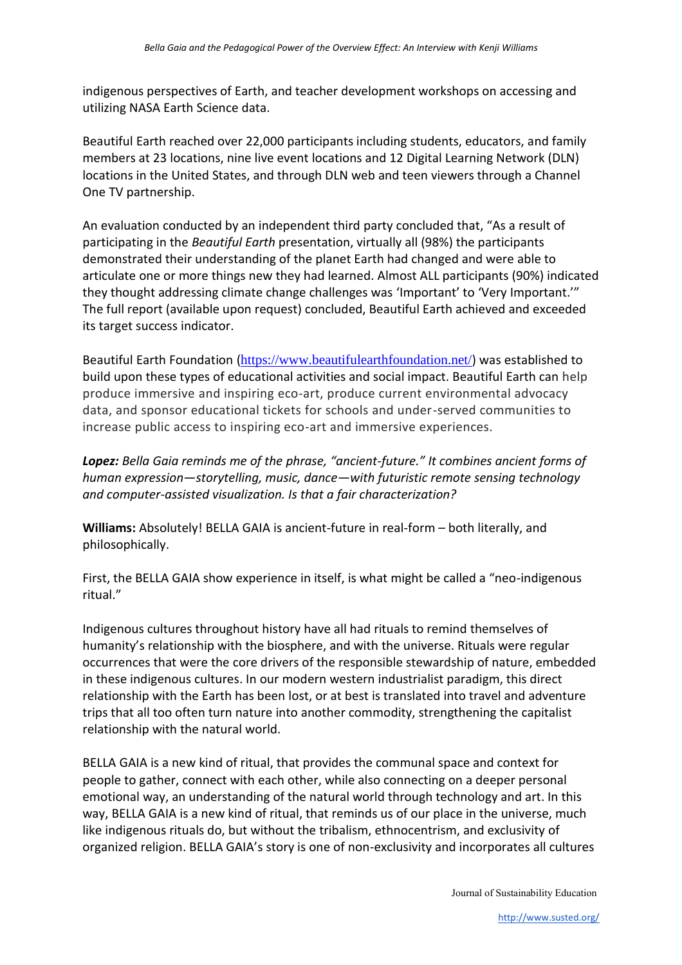indigenous perspectives of Earth, and teacher development workshops on accessing and utilizing NASA Earth Science data.

Beautiful Earth reached over 22,000 participants including students, educators, and family members at 23 locations, nine live event locations and 12 Digital Learning Network (DLN) locations in the United States, and through DLN web and teen viewers through a Channel One TV partnership.

An evaluation conducted by an independent third party concluded that, "As a result of participating in the *Beautiful Earth* presentation, virtually all (98%) the participants demonstrated their understanding of the planet Earth had changed and were able to articulate one or more things new they had learned. Almost ALL participants (90%) indicated they thought addressing climate change challenges was 'Important' to 'Very Important.'" The full report (available upon request) concluded, Beautiful Earth achieved and exceeded its target success indicator.

Beautiful Earth Foundation (<https://www.beautifulearthfoundation.net/>) was established to build upon these types of educational activities and social impact. Beautiful Earth can help produce immersive and inspiring eco-art, produce current environmental advocacy data, and sponsor educational tickets for schools and under-served communities to increase public access to inspiring eco-art and immersive experiences.

*Lopez: Bella Gaia reminds me of the phrase, "ancient-future." It combines ancient forms of human expression—storytelling, music, dance—with futuristic remote sensing technology and computer-assisted visualization. Is that a fair characterization?*

**Williams:** Absolutely! BELLA GAIA is ancient-future in real-form – both literally, and philosophically.

First, the BELLA GAIA show experience in itself, is what might be called a "neo-indigenous ritual."

Indigenous cultures throughout history have all had rituals to remind themselves of humanity's relationship with the biosphere, and with the universe. Rituals were regular occurrences that were the core drivers of the responsible stewardship of nature, embedded in these indigenous cultures. In our modern western industrialist paradigm, this direct relationship with the Earth has been lost, or at best is translated into travel and adventure trips that all too often turn nature into another commodity, strengthening the capitalist relationship with the natural world.

BELLA GAIA is a new kind of ritual, that provides the communal space and context for people to gather, connect with each other, while also connecting on a deeper personal emotional way, an understanding of the natural world through technology and art. In this way, BELLA GAIA is a new kind of ritual, that reminds us of our place in the universe, much like indigenous rituals do, but without the tribalism, ethnocentrism, and exclusivity of organized religion. BELLA GAIA's story is one of non-exclusivity and incorporates all cultures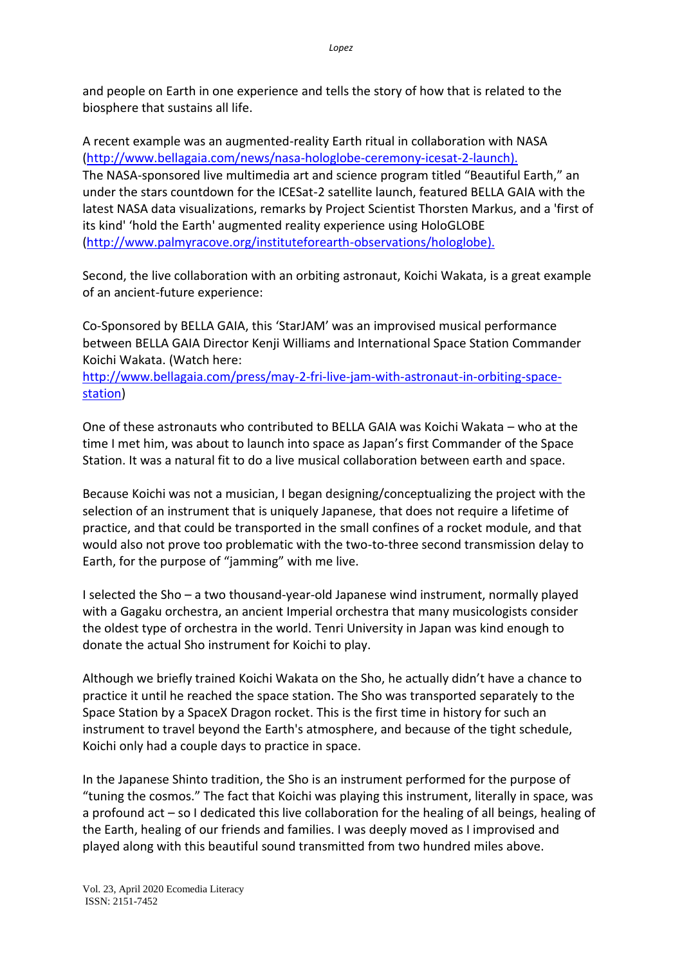and people on Earth in one experience and tells the story of how that is related to the biosphere that sustains all life.

A recent example was an augmented-reality Earth ritual in collaboration with NASA [\(http://www.bellagaia.com/news/nasa-hologlobe-ceremony-icesat-2-launch\)](http://www.bellagaia.com/news/nasa-hologlobe-ceremony-icesat-2-launch). The NASA-sponsored live multimedia art and science program titled "Beautiful Earth," an under the stars countdown for the ICESat-2 satellite launch, featured BELLA GAIA with the latest NASA data visualizations, remarks by Project Scientist Thorsten Markus, and a 'first of its kind' 'hold the Earth' augmented reality experience using HoloGLOBE [\(http://www.palmyracove.org/instituteforearth-observations/hologlobe\)](http://www.palmyracove.org/instituteforearth-observations/hologlobe).

Second, the live collaboration with an orbiting astronaut, Koichi Wakata, is a great example of an ancient-future experience:

Co-Sponsored by BELLA GAIA, this 'StarJAM' was an improvised musical performance between BELLA GAIA Director Kenji Williams and International Space Station Commander Koichi Wakata. (Watch here:

[http://www.bellagaia.com/press/may-2-fri-live-jam-with-astronaut-in-orbiting-space](http://www.bellagaia.com/press/may-2-fri-live-jam-with-astronaut-in-orbiting-space-station)[station\)](http://www.bellagaia.com/press/may-2-fri-live-jam-with-astronaut-in-orbiting-space-station)

One of these astronauts who contributed to BELLA GAIA was Koichi Wakata – who at the time I met him, was about to launch into space as Japan's first Commander of the Space Station. It was a natural fit to do a live musical collaboration between earth and space.

Because Koichi was not a musician, I began designing/conceptualizing the project with the selection of an instrument that is uniquely Japanese, that does not require a lifetime of practice, and that could be transported in the small confines of a rocket module, and that would also not prove too problematic with the two-to-three second transmission delay to Earth, for the purpose of "jamming" with me live.

I selected the Sho – a two thousand-year-old Japanese wind instrument, normally played with a Gagaku orchestra, an ancient Imperial orchestra that many musicologists consider the oldest type of orchestra in the world. Tenri University in Japan was kind enough to donate the actual Sho instrument for Koichi to play.

Although we briefly trained Koichi Wakata on the Sho, he actually didn't have a chance to practice it until he reached the space station. The Sho was transported separately to the Space Station by a SpaceX Dragon rocket. This is the first time in history for such an instrument to travel beyond the Earth's atmosphere, and because of the tight schedule, Koichi only had a couple days to practice in space.

In the Japanese Shinto tradition, the Sho is an instrument performed for the purpose of "tuning the cosmos." The fact that Koichi was playing this instrument, literally in space, was a profound act – so I dedicated this live collaboration for the healing of all beings, healing of the Earth, healing of our friends and families. I was deeply moved as I improvised and played along with this beautiful sound transmitted from two hundred miles above.

Vol. 23, April 2020 Ecomedia Literacy ISSN: 2151-7452